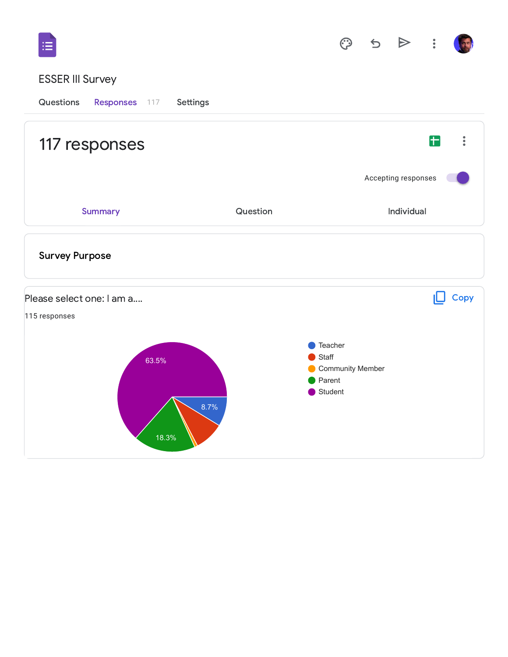| 5 |  |
|---|--|
|   |  |

## ESSER III Survey

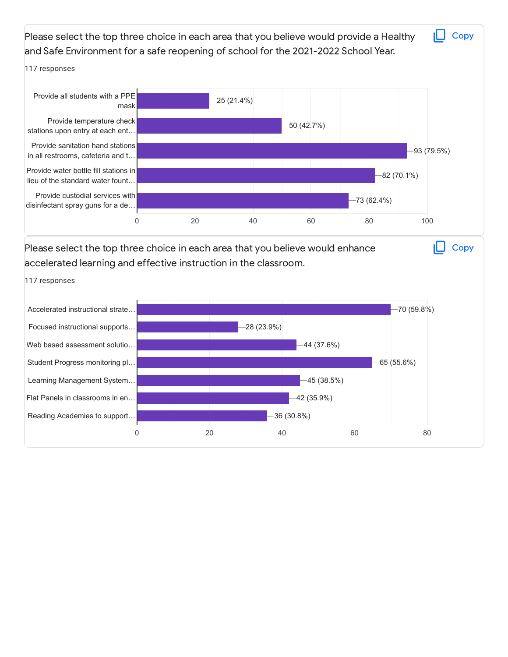Please select the top three choice in each area that you believe would provide a Healthy and Safe Environment for a safe reopening of school for the 2021-2022 School Year. 117 responses Please select the top three choice in each area that you believe would enhance accelerated learning and effective instruction in the classroom. 117 responses **Copy** 0 20 40 60 80 100 Provide all students with a PPE mask Provide temperature check stations upon entry at each ent… Provide sanitation hand stations in all restrooms, cafeteria and t… Provide water bottle fill stations in lieu of the standard water fount… Provide custodial services with disinfectant spray guns for a de… 25 (21.4%) 50 (42.7%) 93 (79.5%) 82 (70.1%) 73 (62.4%) **Copy** Accelerated instructional strate… Focused instructional supports… Web based assessment solutio… Student Progress monitoring pl… Learning Management System… Flat Panels in classrooms in en… Reading Academies to support… 70 (59.8%) 28 (23.9%) 44 (37.6%) 65 (55.6%) 45 (38.5%) 42 (35.9%) 36 (30.8%)

0 20 20 40 60 80